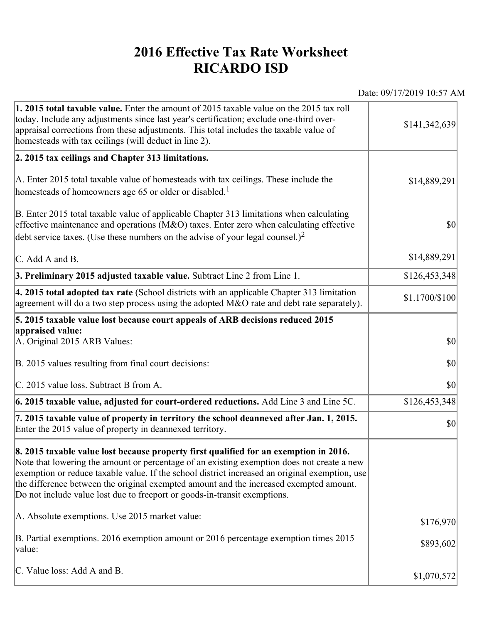## **2016 Effective Tax Rate Worksheet RICARDO ISD**

Date: 09/17/2019 10:57 AM

| 1. 2015 total taxable value. Enter the amount of 2015 taxable value on the 2015 tax roll<br>today. Include any adjustments since last year's certification; exclude one-third over-<br>appraisal corrections from these adjustments. This total includes the taxable value of<br>homesteads with tax ceilings (will deduct in line 2).                                                                                                                       | \$141,342,639  |
|--------------------------------------------------------------------------------------------------------------------------------------------------------------------------------------------------------------------------------------------------------------------------------------------------------------------------------------------------------------------------------------------------------------------------------------------------------------|----------------|
| 2. 2015 tax ceilings and Chapter 313 limitations.                                                                                                                                                                                                                                                                                                                                                                                                            |                |
| A. Enter 2015 total taxable value of homesteads with tax ceilings. These include the<br>homesteads of homeowners age 65 or older or disabled. <sup>1</sup>                                                                                                                                                                                                                                                                                                   | \$14,889,291   |
| B. Enter 2015 total taxable value of applicable Chapter 313 limitations when calculating<br>effective maintenance and operations ( $M&O$ ) taxes. Enter zero when calculating effective<br>debt service taxes. (Use these numbers on the advise of your legal counsel.) <sup>2</sup>                                                                                                                                                                         | $ 10\rangle$   |
| C. Add A and B.                                                                                                                                                                                                                                                                                                                                                                                                                                              | \$14,889,291   |
| 3. Preliminary 2015 adjusted taxable value. Subtract Line 2 from Line 1.                                                                                                                                                                                                                                                                                                                                                                                     | \$126,453,348  |
| 4. 2015 total adopted tax rate (School districts with an applicable Chapter 313 limitation<br>agreement will do a two step process using the adopted M&O rate and debt rate separately).                                                                                                                                                                                                                                                                     | \$1.1700/\$100 |
| 5. 2015 taxable value lost because court appeals of ARB decisions reduced 2015                                                                                                                                                                                                                                                                                                                                                                               |                |
| appraised value:<br>A. Original 2015 ARB Values:                                                                                                                                                                                                                                                                                                                                                                                                             | $ 10\rangle$   |
| B. 2015 values resulting from final court decisions:                                                                                                                                                                                                                                                                                                                                                                                                         | \$0            |
| C. 2015 value loss. Subtract B from A.                                                                                                                                                                                                                                                                                                                                                                                                                       | $ 10\rangle$   |
| $\vert$ 6. 2015 taxable value, adjusted for court-ordered reductions. Add Line 3 and Line 5C.                                                                                                                                                                                                                                                                                                                                                                | \$126,453,348  |
| 7. 2015 taxable value of property in territory the school deannexed after Jan. 1, 2015.<br>Enter the 2015 value of property in deannexed territory.                                                                                                                                                                                                                                                                                                          | $ 10\rangle$   |
| 8. 2015 taxable value lost because property first qualified for an exemption in 2016.<br>Note that lowering the amount or percentage of an existing exemption does not create a new<br>exemption or reduce taxable value. If the school district increased an original exemption, use<br>the difference between the original exempted amount and the increased exempted amount.<br>Do not include value lost due to freeport or goods-in-transit exemptions. |                |
| A. Absolute exemptions. Use 2015 market value:                                                                                                                                                                                                                                                                                                                                                                                                               | \$176,970      |
| B. Partial exemptions. 2016 exemption amount or 2016 percentage exemption times 2015<br>value:                                                                                                                                                                                                                                                                                                                                                               | \$893,602      |
| C. Value loss: Add A and B.                                                                                                                                                                                                                                                                                                                                                                                                                                  | \$1,070,572    |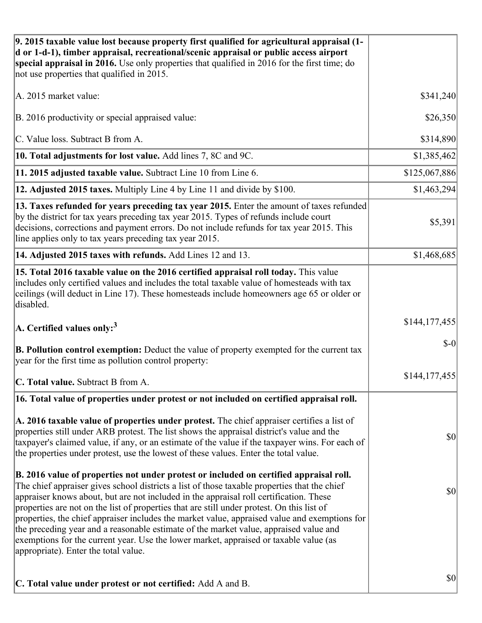| 9. 2015 taxable value lost because property first qualified for agricultural appraisal (1-<br>d or 1-d-1), timber appraisal, recreational/scenic appraisal or public access airport<br>special appraisal in 2016. Use only properties that qualified in 2016 for the first time; do<br>not use properties that qualified in 2015.                                                                                                                                                                                                                                                                                                                                                                         |                                     |
|-----------------------------------------------------------------------------------------------------------------------------------------------------------------------------------------------------------------------------------------------------------------------------------------------------------------------------------------------------------------------------------------------------------------------------------------------------------------------------------------------------------------------------------------------------------------------------------------------------------------------------------------------------------------------------------------------------------|-------------------------------------|
| A. 2015 market value:                                                                                                                                                                                                                                                                                                                                                                                                                                                                                                                                                                                                                                                                                     | \$341,240                           |
| B. 2016 productivity or special appraised value:                                                                                                                                                                                                                                                                                                                                                                                                                                                                                                                                                                                                                                                          | \$26,350                            |
| C. Value loss. Subtract B from A.                                                                                                                                                                                                                                                                                                                                                                                                                                                                                                                                                                                                                                                                         | \$314,890                           |
| 10. Total adjustments for lost value. Add lines 7, 8C and 9C.                                                                                                                                                                                                                                                                                                                                                                                                                                                                                                                                                                                                                                             | \$1,385,462                         |
| 11. 2015 adjusted taxable value. Subtract Line 10 from Line 6.                                                                                                                                                                                                                                                                                                                                                                                                                                                                                                                                                                                                                                            | \$125,067,886                       |
| 12. Adjusted 2015 taxes. Multiply Line 4 by Line 11 and divide by \$100.                                                                                                                                                                                                                                                                                                                                                                                                                                                                                                                                                                                                                                  | \$1,463,294                         |
| 13. Taxes refunded for years preceding tax year 2015. Enter the amount of taxes refunded<br>by the district for tax years preceding tax year 2015. Types of refunds include court<br>decisions, corrections and payment errors. Do not include refunds for tax year 2015. This<br>line applies only to tax years preceding tax year 2015.                                                                                                                                                                                                                                                                                                                                                                 | \$5,391                             |
| 14. Adjusted 2015 taxes with refunds. Add Lines 12 and 13.                                                                                                                                                                                                                                                                                                                                                                                                                                                                                                                                                                                                                                                | \$1,468,685                         |
| 15. Total 2016 taxable value on the 2016 certified appraisal roll today. This value<br>includes only certified values and includes the total taxable value of homesteads with tax<br>ceilings (will deduct in Line 17). These homesteads include homeowners age 65 or older or<br>disabled.                                                                                                                                                                                                                                                                                                                                                                                                               |                                     |
| A. Certified values only: <sup>3</sup>                                                                                                                                                                                                                                                                                                                                                                                                                                                                                                                                                                                                                                                                    | \$144,177,455                       |
| <b>B. Pollution control exemption:</b> Deduct the value of property exempted for the current tax<br>year for the first time as pollution control property:                                                                                                                                                                                                                                                                                                                                                                                                                                                                                                                                                | $\vert 10 \vert$                    |
| C. Total value. Subtract B from A.                                                                                                                                                                                                                                                                                                                                                                                                                                                                                                                                                                                                                                                                        | \$144, 177, 455                     |
| 16. Total value of properties under protest or not included on certified appraisal roll.                                                                                                                                                                                                                                                                                                                                                                                                                                                                                                                                                                                                                  |                                     |
| A. 2016 taxable value of properties under protest. The chief appraiser certifies a list of<br>properties still under ARB protest. The list shows the appraisal district's value and the<br>taxpayer's claimed value, if any, or an estimate of the value if the taxpayer wins. For each of<br>the properties under protest, use the lowest of these values. Enter the total value.                                                                                                                                                                                                                                                                                                                        | $\vert \mathbf{S} \mathbf{O} \vert$ |
| B. 2016 value of properties not under protest or included on certified appraisal roll.<br>The chief appraiser gives school districts a list of those taxable properties that the chief<br>appraiser knows about, but are not included in the appraisal roll certification. These<br>properties are not on the list of properties that are still under protest. On this list of<br>properties, the chief appraiser includes the market value, appraised value and exemptions for<br>the preceding year and a reasonable estimate of the market value, appraised value and<br>exemptions for the current year. Use the lower market, appraised or taxable value (as<br>appropriate). Enter the total value. | $ 10\rangle$                        |
| C. Total value under protest or not certified: Add A and B.                                                                                                                                                                                                                                                                                                                                                                                                                                                                                                                                                                                                                                               | $\vert \mathbf{S} \mathbf{O} \vert$ |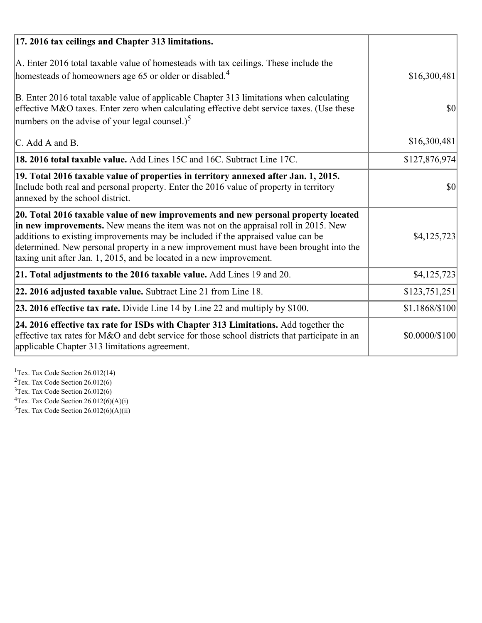| 17. 2016 tax ceilings and Chapter 313 limitations.                                                                                                                                                                                                                                                                                                                                                                             |                |
|--------------------------------------------------------------------------------------------------------------------------------------------------------------------------------------------------------------------------------------------------------------------------------------------------------------------------------------------------------------------------------------------------------------------------------|----------------|
| A. Enter 2016 total taxable value of homesteads with tax ceilings. These include the<br>homesteads of homeowners age 65 or older or disabled. <sup>4</sup>                                                                                                                                                                                                                                                                     | \$16,300,481   |
| B. Enter 2016 total taxable value of applicable Chapter 313 limitations when calculating<br>effective M&O taxes. Enter zero when calculating effective debt service taxes. (Use these<br>numbers on the advise of your legal counsel.) <sup>5</sup>                                                                                                                                                                            | \$0            |
| C. Add A and B.                                                                                                                                                                                                                                                                                                                                                                                                                | \$16,300,481   |
| 18. 2016 total taxable value. Add Lines 15C and 16C. Subtract Line 17C.                                                                                                                                                                                                                                                                                                                                                        | \$127,876,974  |
| 19. Total 2016 taxable value of properties in territory annexed after Jan. 1, 2015.<br>Include both real and personal property. Enter the 2016 value of property in territory<br>annexed by the school district.                                                                                                                                                                                                               | \$0            |
| 20. Total 2016 taxable value of new improvements and new personal property located<br>in new improvements. New means the item was not on the appraisal roll in 2015. New<br>additions to existing improvements may be included if the appraised value can be<br>determined. New personal property in a new improvement must have been brought into the<br>taxing unit after Jan. 1, 2015, and be located in a new improvement. | \$4,125,723    |
| $ 21$ . Total adjustments to the 2016 taxable value. Add Lines 19 and 20.                                                                                                                                                                                                                                                                                                                                                      | \$4,125,723    |
| 22. 2016 adjusted taxable value. Subtract Line 21 from Line 18.                                                                                                                                                                                                                                                                                                                                                                | \$123,751,251  |
| 23. 2016 effective tax rate. Divide Line 14 by Line 22 and multiply by $$100$ .                                                                                                                                                                                                                                                                                                                                                | \$1.1868/\$100 |
| 24. 2016 effective tax rate for ISDs with Chapter 313 Limitations. Add together the<br>effective tax rates for M&O and debt service for those school districts that participate in an<br>applicable Chapter 313 limitations agreement.                                                                                                                                                                                         | \$0.0000/\$100 |

<sup>1</sup>Tex. Tax Code Section 26.012(14)  $2$ Tex. Tax Code Section 26.012(6)  $3$ Tex. Tax Code Section 26.012(6)  ${}^{4}$ Tex. Tax Code Section 26.012(6)(A)(i)

 $5$ Tex. Tax Code Section 26.012(6)(A)(ii)